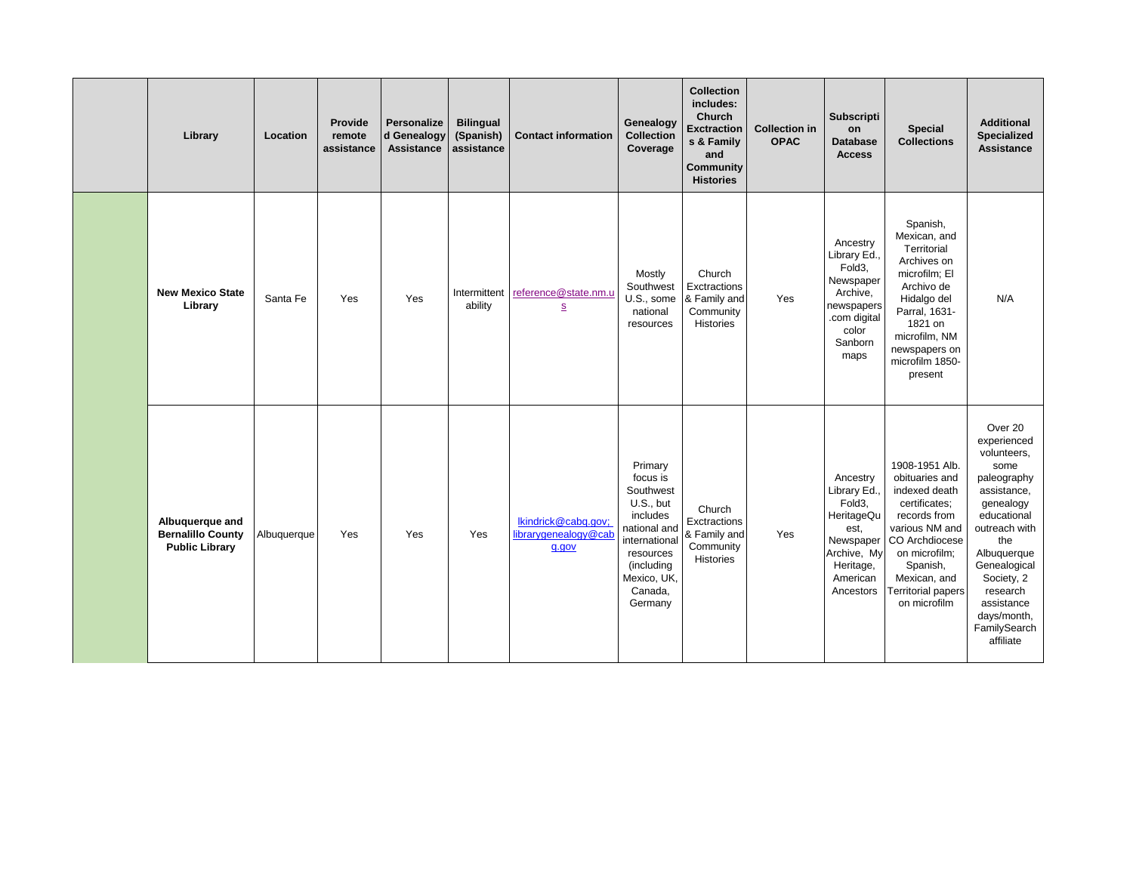| Library                                                              | Location    | Provide<br>remote<br>assistance | <b>Personalize</b><br>d Genealogy<br><b>Assistance</b> | <b>Bilingual</b><br>(Spanish)<br>assistance | <b>Contact information</b>                           | Genealogy<br><b>Collection</b><br>Coverage                                                                                                                 | <b>Collection</b><br>includes:<br>Church<br><b>Exctraction</b><br>s & Family<br>and<br><b>Community</b><br><b>Histories</b> | <b>Collection in</b><br><b>OPAC</b> | <b>Subscripti</b><br>on<br><b>Database</b><br><b>Access</b>                                                                        | <b>Special</b><br><b>Collections</b>                                                                                                                                                                             | <b>Additional</b><br><b>Specialized</b><br><b>Assistance</b>                                                                                                                                                                                       |
|----------------------------------------------------------------------|-------------|---------------------------------|--------------------------------------------------------|---------------------------------------------|------------------------------------------------------|------------------------------------------------------------------------------------------------------------------------------------------------------------|-----------------------------------------------------------------------------------------------------------------------------|-------------------------------------|------------------------------------------------------------------------------------------------------------------------------------|------------------------------------------------------------------------------------------------------------------------------------------------------------------------------------------------------------------|----------------------------------------------------------------------------------------------------------------------------------------------------------------------------------------------------------------------------------------------------|
| <b>New Mexico State</b><br>Library                                   | Santa Fe    | Yes                             | Yes                                                    | ability                                     | Intermittent reference@state.nm.u<br>S               | Mostly<br>Southwest<br>U.S., some<br>national<br>resources                                                                                                 | Church<br>Exctractions<br>& Family and<br>Community<br>Histories                                                            | Yes                                 | Ancestry<br>Library Ed.,<br>Fold <sub>3</sub> ,<br>Newspaper<br>Archive,<br>newspapers<br>.com digital<br>color<br>Sanborn<br>maps | Spanish,<br>Mexican, and<br>Territorial<br>Archives on<br>microfilm; El<br>Archivo de<br>Hidalgo del<br>Parral, 1631-<br>1821 on<br>microfilm, NM<br>newspapers on<br>microfilm 1850-<br>present                 | N/A                                                                                                                                                                                                                                                |
| Albuquerque and<br><b>Bernalillo County</b><br><b>Public Library</b> | Albuquerque | Yes                             | Yes                                                    | Yes                                         | Ikindrick@cabq.gov;<br>librarygenealogy@cab<br>q.gov | Primary<br>focus is<br>Southwest<br>U.S., but<br>includes<br>national and<br>international<br>resources<br>(including<br>Mexico, UK,<br>Canada,<br>Germany | Church<br>Exctractions<br>& Family and<br>Community<br>Histories                                                            | Yes                                 | Ancestry<br>Library Ed.,<br>Fold3,<br>HeritageQu<br>est,<br>Newspaper<br>Archive, My<br>Heritage,<br>American<br>Ancestors         | 1908-1951 Alb.<br>obituaries and<br>indexed death<br>certificates;<br>records from<br>various NM and<br>CO Archdiocese<br>on microfilm;<br>Spanish,<br>Mexican, and<br><b>Territorial papers</b><br>on microfilm | Over 20<br>experienced<br>volunteers,<br>some<br>paleography<br>assistance,<br>genealogy<br>educational<br>outreach with<br>the<br>Albuquerque<br>Genealogical<br>Society, 2<br>research<br>assistance<br>days/month,<br>FamilySearch<br>affiliate |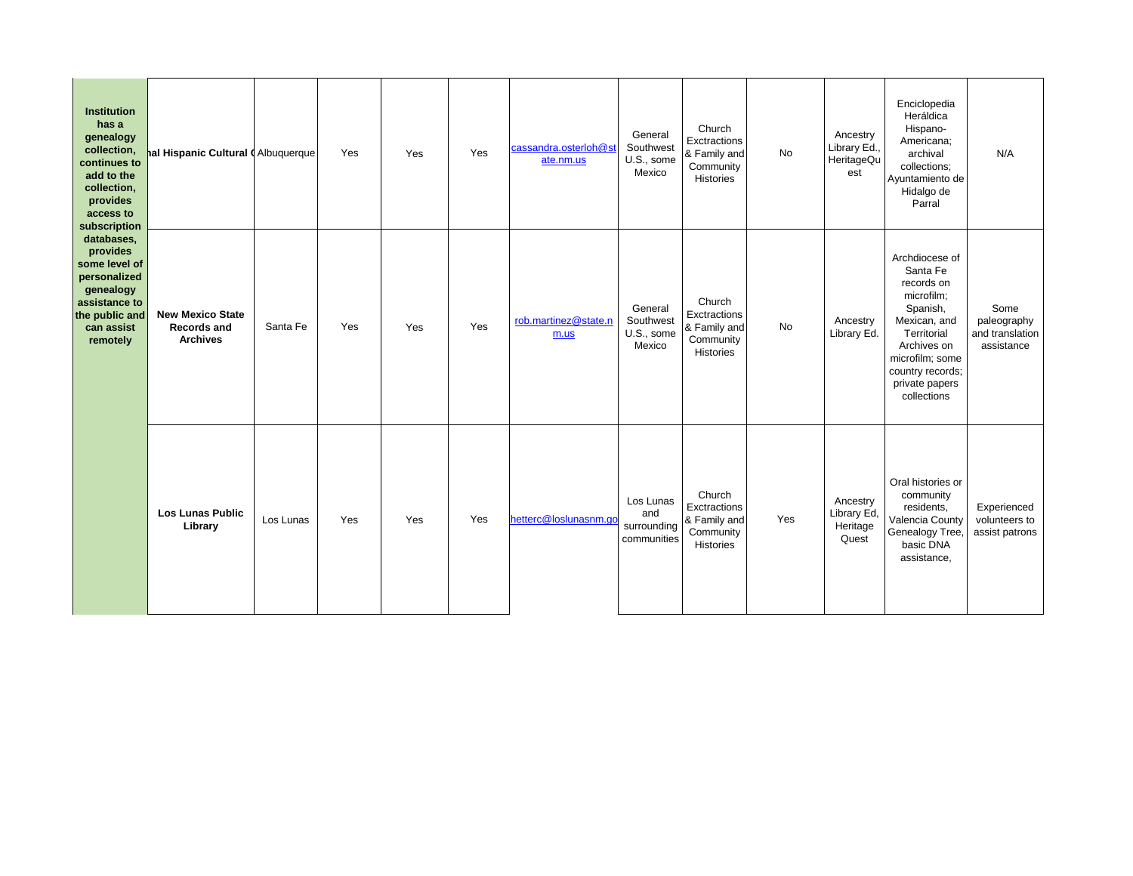| <b>Institution</b><br>has a<br>genealogy<br>collection,<br>continues to<br>add to the<br>collection,<br>provides<br>access to<br>subscription<br>databases,<br>provides<br>some level of<br>personalized<br>genealogy<br>assistance to<br>the public and<br>can assist<br>remotely | al Hispanic Cultural I Albuquerque                               |           | Yes | Yes | Yes | cassandra.osterloh@st<br>ate.nm.us | General<br>Southwest<br>U.S., some<br>Mexico   | Church<br>Exctractions<br>& Family and<br>Community<br>Histories | <b>No</b> | Ancestry<br>Library Ed.,<br>HeritageQu<br>est | Enciclopedia<br>Heráldica<br>Hispano-<br>Americana;<br>archival<br>collections;<br>Ayuntamiento de<br>Hidalgo de<br>Parral                                                               | N/A                                                  |  |
|------------------------------------------------------------------------------------------------------------------------------------------------------------------------------------------------------------------------------------------------------------------------------------|------------------------------------------------------------------|-----------|-----|-----|-----|------------------------------------|------------------------------------------------|------------------------------------------------------------------|-----------|-----------------------------------------------|------------------------------------------------------------------------------------------------------------------------------------------------------------------------------------------|------------------------------------------------------|--|
|                                                                                                                                                                                                                                                                                    | <b>New Mexico State</b><br><b>Records and</b><br><b>Archives</b> | Santa Fe  | Yes | Yes | Yes | rob.martinez@state.n<br>m.us       | General<br>Southwest<br>U.S., some<br>Mexico   | Church<br>Exctractions<br>& Family and<br>Community<br>Histories | <b>No</b> | Ancestry<br>Library Ed.                       | Archdiocese of<br>Santa Fe<br>records on<br>microfilm;<br>Spanish,<br>Mexican, and<br>Territorial<br>Archives on<br>microfilm; some<br>country records;<br>private papers<br>collections | Some<br>paleography<br>and translation<br>assistance |  |
|                                                                                                                                                                                                                                                                                    | <b>Los Lunas Public</b><br>Library                               | Los Lunas | Yes | Yes | Yes | hetterc@loslunasnm.go              | Los Lunas<br>and<br>surrounding<br>communities | Church<br>Exctractions<br>& Family and<br>Community<br>Histories | Yes       | Ancestry<br>Library Ed,<br>Heritage<br>Quest  | Oral histories or<br>community<br>residents,<br>Valencia County<br>Genealogy Tree,<br>basic DNA<br>assistance,                                                                           | Experienced<br>volunteers to<br>assist patrons       |  |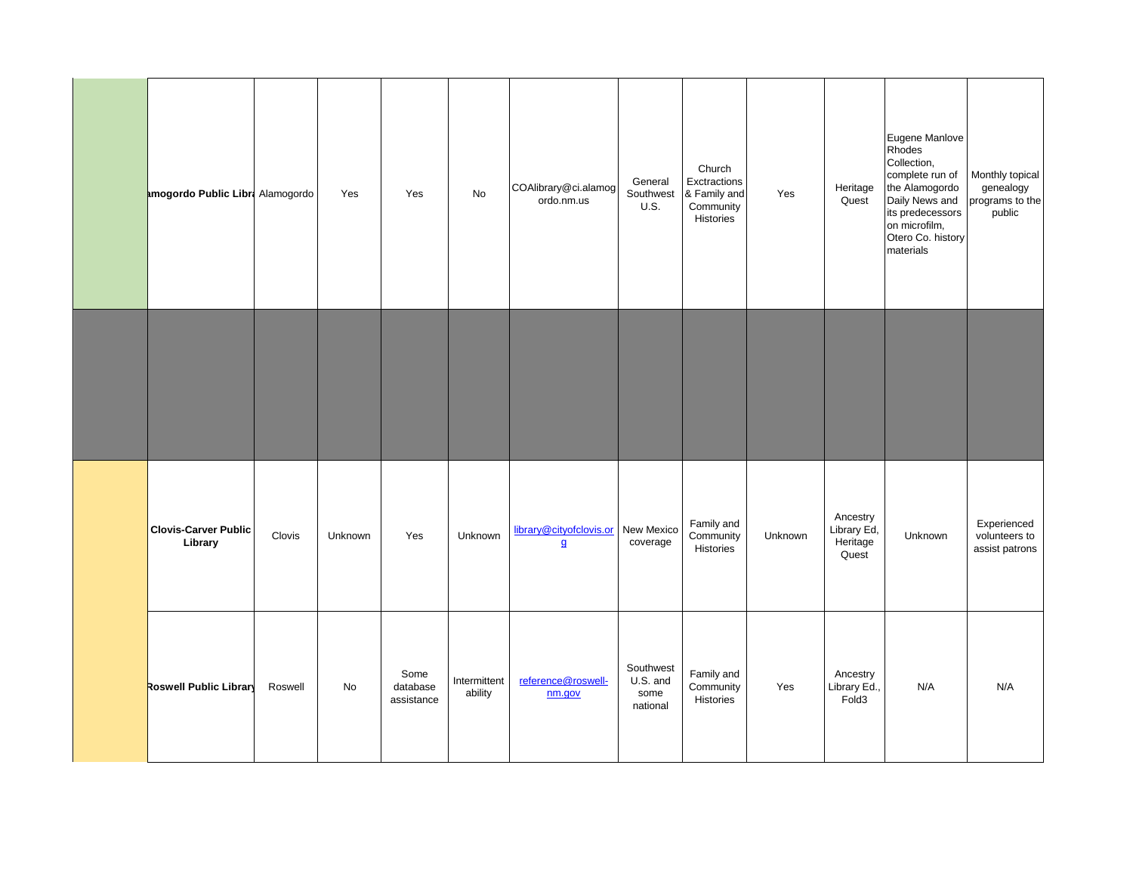|                                        |         |         |                                |                         |                                           |                                           | Church                                                 |         |                                               | Eugene Manlove<br>Rhodes<br>Collection,                                                                                    |                                                           |
|----------------------------------------|---------|---------|--------------------------------|-------------------------|-------------------------------------------|-------------------------------------------|--------------------------------------------------------|---------|-----------------------------------------------|----------------------------------------------------------------------------------------------------------------------------|-----------------------------------------------------------|
| amogordo Public Libra Alamogordo       |         | Yes     | Yes                            | No                      | COAlibrary@ci.alamog<br>ordo.nm.us        | General<br>Southwest<br>U.S.              | Exctractions<br>& Family and<br>Community<br>Histories | Yes     | Heritage<br>Quest                             | complete run of<br>the Alamogordo<br>Daily News and<br>its predecessors<br>on microfilm,<br>Otero Co. history<br>materials | Monthly topical<br>genealogy<br>programs to the<br>public |
|                                        |         |         |                                |                         |                                           |                                           |                                                        |         |                                               |                                                                                                                            |                                                           |
|                                        |         |         |                                |                         |                                           |                                           |                                                        |         |                                               |                                                                                                                            |                                                           |
| <b>Clovis-Carver Public</b><br>Library | Clovis  | Unknown | Yes                            | Unknown                 | library@cityofclovis.or<br>$\overline{a}$ | New Mexico<br>coverage                    | Family and<br>Community<br>Histories                   | Unknown | Ancestry<br>Library Ed,<br>Heritage<br>Quest  | Unknown                                                                                                                    | Experienced<br>volunteers to<br>assist patrons            |
| Roswell Public Library                 | Roswell | No      | Some<br>database<br>assistance | Intermittent<br>ability | reference@roswell-<br>nm.gov              | Southwest<br>U.S. and<br>some<br>national | Family and<br>Community<br>Histories                   | Yes     | Ancestry<br>Library Ed.,<br>Fold <sub>3</sub> | N/A                                                                                                                        | N/A                                                       |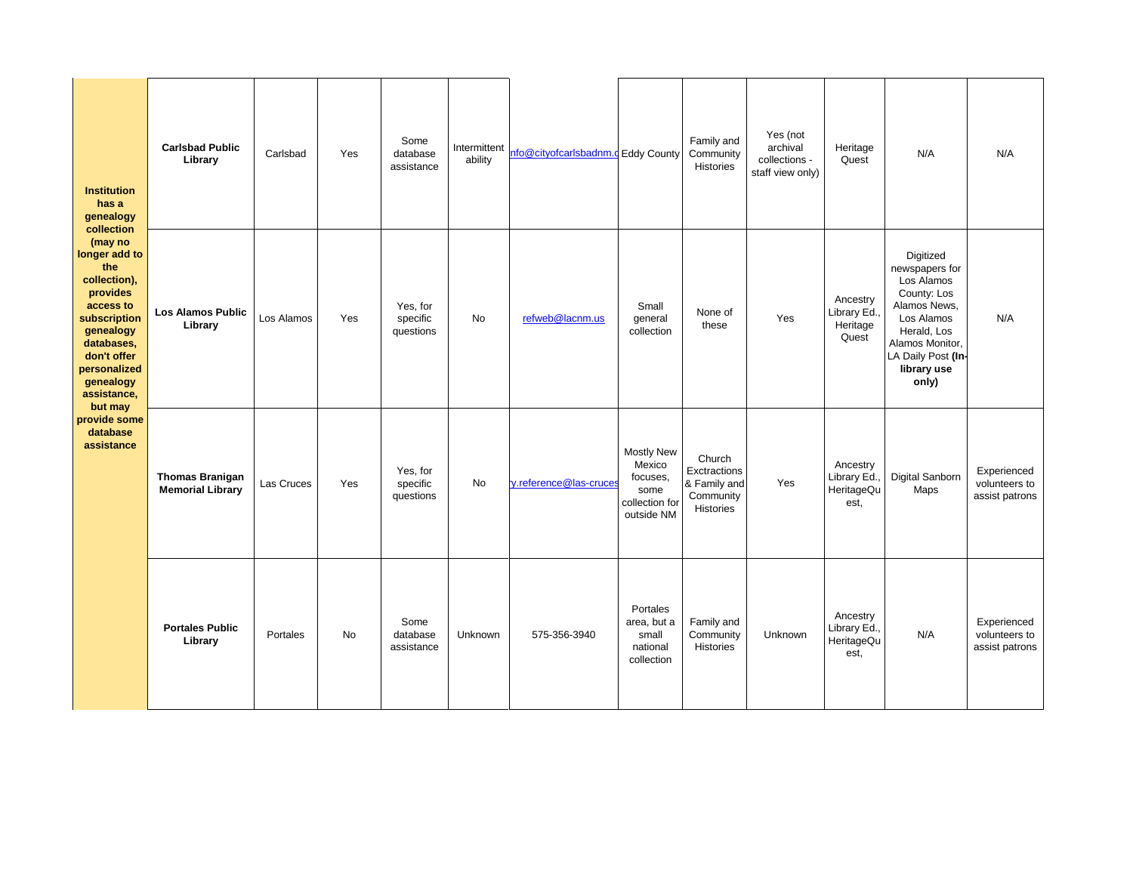| <b>Institution</b><br>has a<br>genealogy<br>collection<br>(may no<br>longer add to<br>the<br>collection),<br>provides<br>access to<br>subscription<br>genealogy<br>databases,<br>don't offer<br>personalized<br>genealogy<br>assistance,<br>but may<br>provide some<br>database<br>assistance | <b>Carlsbad Public</b><br>Library                 | Carlsbad   | Yes       | Some<br>database<br>assistance    | Intermittent<br>ability | nfo@cityofcarlsbadnm.c Eddy County |                                                                                 | Family and<br>Community<br>Histories                                    | Yes (not<br>archival<br>collections -<br>staff view only) | Heritage<br>Quest                              | N/A                                                                                                                                                                    | N/A                                            |
|-----------------------------------------------------------------------------------------------------------------------------------------------------------------------------------------------------------------------------------------------------------------------------------------------|---------------------------------------------------|------------|-----------|-----------------------------------|-------------------------|------------------------------------|---------------------------------------------------------------------------------|-------------------------------------------------------------------------|-----------------------------------------------------------|------------------------------------------------|------------------------------------------------------------------------------------------------------------------------------------------------------------------------|------------------------------------------------|
|                                                                                                                                                                                                                                                                                               | <b>Los Alamos Public</b><br>Library               | Los Alamos | Yes       | Yes, for<br>specific<br>questions | <b>No</b>               | refweb@lacnm.us                    | Small<br>general<br>collection                                                  | None of<br>these                                                        | Yes                                                       | Ancestry<br>Library Ed.,<br>Heritage<br>Quest  | Digitized<br>newspapers for<br>Los Alamos<br>County: Los<br>Alamos News,<br>Los Alamos<br>Herald, Los<br>Alamos Monitor,<br>LA Daily Post (In-<br>library use<br>only) | N/A                                            |
|                                                                                                                                                                                                                                                                                               | <b>Thomas Branigan</b><br><b>Memorial Library</b> | Las Cruces | Yes       | Yes, for<br>specific<br>questions | <b>No</b>               | y.reference@las-cruces             | <b>Mostly New</b><br>Mexico<br>focuses.<br>some<br>collection for<br>outside NM | Church<br>Exctractions<br>& Family and<br>Community<br><b>Histories</b> | Yes                                                       | Ancestry<br>Library Ed.<br>HeritageQu<br>est.  | Digital Sanborn<br>Maps                                                                                                                                                | Experienced<br>volunteers to<br>assist patrons |
|                                                                                                                                                                                                                                                                                               | <b>Portales Public</b><br>Library                 | Portales   | <b>No</b> | Some<br>database<br>assistance    | Unknown                 | 575-356-3940                       | Portales<br>area, but a<br>small<br>national<br>collection                      | Family and<br>Community<br><b>Histories</b>                             | Unknown                                                   | Ancestry<br>Library Ed.,<br>HeritageQu<br>est. | N/A                                                                                                                                                                    | Experienced<br>volunteers to<br>assist patrons |